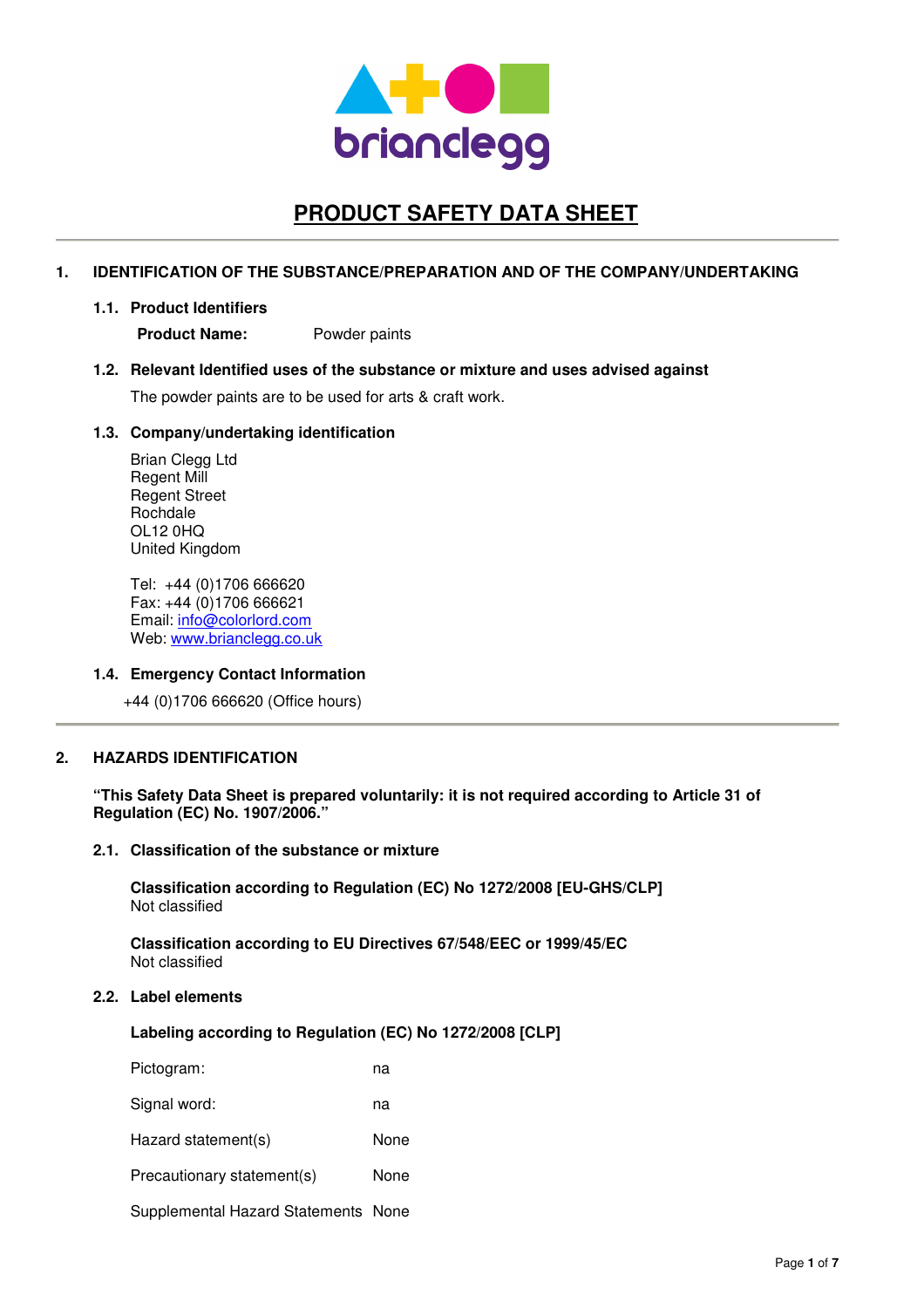

# **PRODUCT SAFETY DATA SHEET**

## **1. IDENTIFICATION OF THE SUBSTANCE/PREPARATION AND OF THE COMPANY/UNDERTAKING**

#### **1.1. Product Identifiers**

**Product Name:** Powder paints

### **1.2. Relevant Identified uses of the substance or mixture and uses advised against**

The powder paints are to be used for arts & craft work.

### **1.3. Company/undertaking identification**

Brian Clegg Ltd Regent Mill Regent Street Rochdale OL12 0HQ United Kingdom

Tel: +44 (0)1706 666620 Fax: +44 (0)1706 666621 Email: info@colorlord.com Web: www.brianclegg.co.uk

## **1.4. Emergency Contact Information**

+44 (0)1706 666620 (Office hours)

## **2. HAZARDS IDENTIFICATION**

**"This Safety Data Sheet is prepared voluntarily: it is not required according to Article 31 of Regulation (EC) No. 1907/2006."**

#### **2.1. Classification of the substance or mixture**

**Classification according to Regulation (EC) No 1272/2008 [EU-GHS/CLP]**  Not classified

**Classification according to EU Directives 67/548/EEC or 1999/45/EC**  Not classified

## **2.2. Label elements**

**Labeling according to Regulation (EC) No 1272/2008 [CLP]** 

| Pictogram:                          | na   |
|-------------------------------------|------|
| Signal word:                        | na   |
| Hazard statement(s)                 | None |
| Precautionary statement(s)          | None |
| Supplemental Hazard Statements None |      |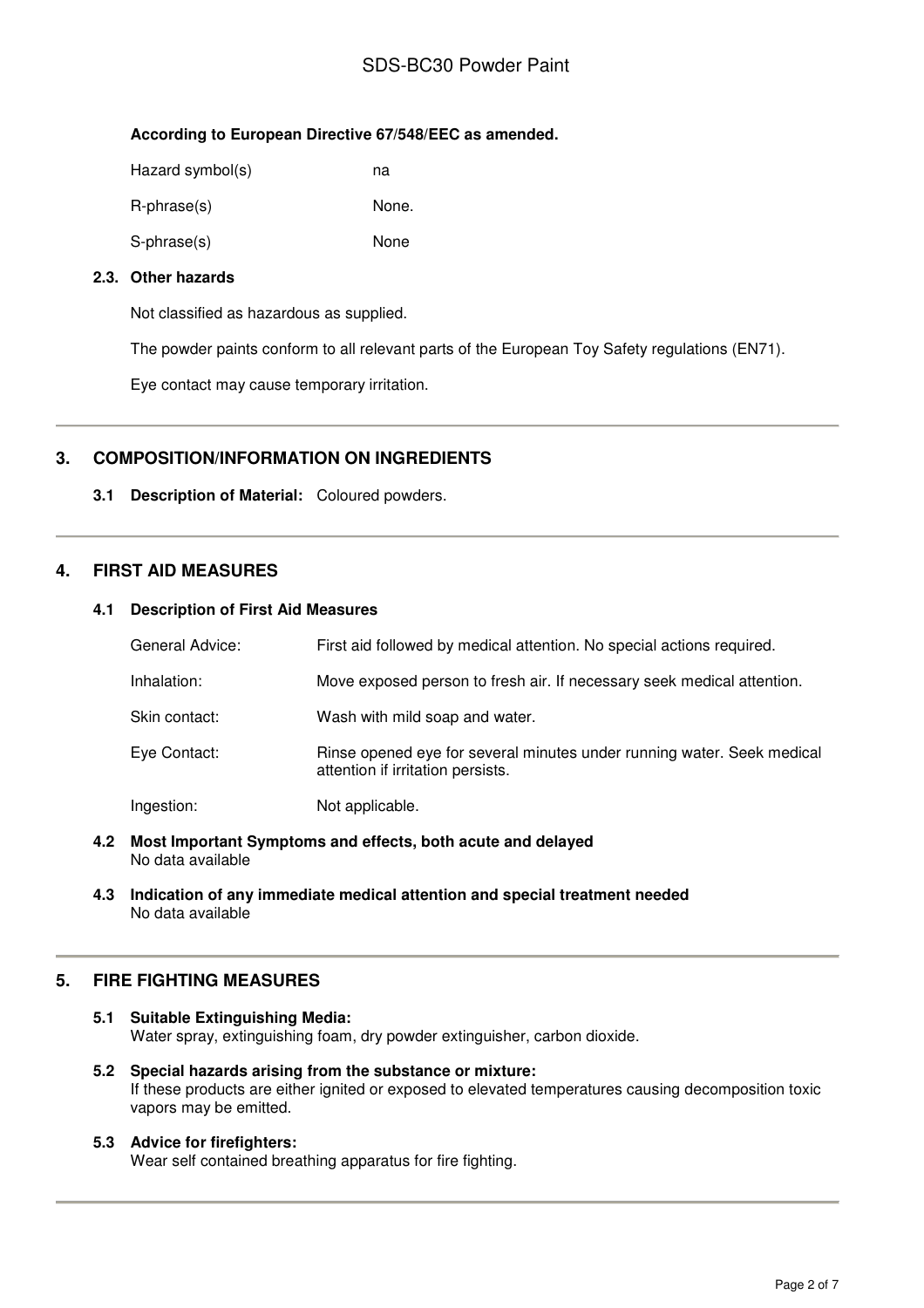## SDS-BC30 Powder Paint

## **According to European Directive 67/548/EEC as amended.**

| Hazard symbol(s) | na    |
|------------------|-------|
| R-phrase(s)      | None. |
| S-phrase(s)      | None  |

## **2.3. Other hazards**

Not classified as hazardous as supplied.

The powder paints conform to all relevant parts of the European Toy Safety regulations (EN71).

Eye contact may cause temporary irritation.

## **3. COMPOSITION/INFORMATION ON INGREDIENTS**

## **3.1 Description of Material:** Coloured powders.

## **4. FIRST AID MEASURES**

## **4.1 Description of First Aid Measures**

| General Advice: | First aid followed by medical attention. No special actions required.                                       |
|-----------------|-------------------------------------------------------------------------------------------------------------|
| Inhalation:     | Move exposed person to fresh air. If necessary seek medical attention.                                      |
| Skin contact:   | Wash with mild soap and water.                                                                              |
| Eye Contact:    | Rinse opened eye for several minutes under running water. Seek medical<br>attention if irritation persists. |
| Ingestion:      | Not applicable.                                                                                             |

- **4.2 Most Important Symptoms and effects, both acute and delayed**  No data available
- **4.3 Indication of any immediate medical attention and special treatment needed**  No data available

## **5. FIRE FIGHTING MEASURES**

- **5.1 Suitable Extinguishing Media:** Water spray, extinguishing foam, dry powder extinguisher, carbon dioxide.
- **5.2 Special hazards arising from the substance or mixture:**  If these products are either ignited or exposed to elevated temperatures causing decomposition toxic vapors may be emitted.

## **5.3 Advice for firefighters:**

Wear self contained breathing apparatus for fire fighting.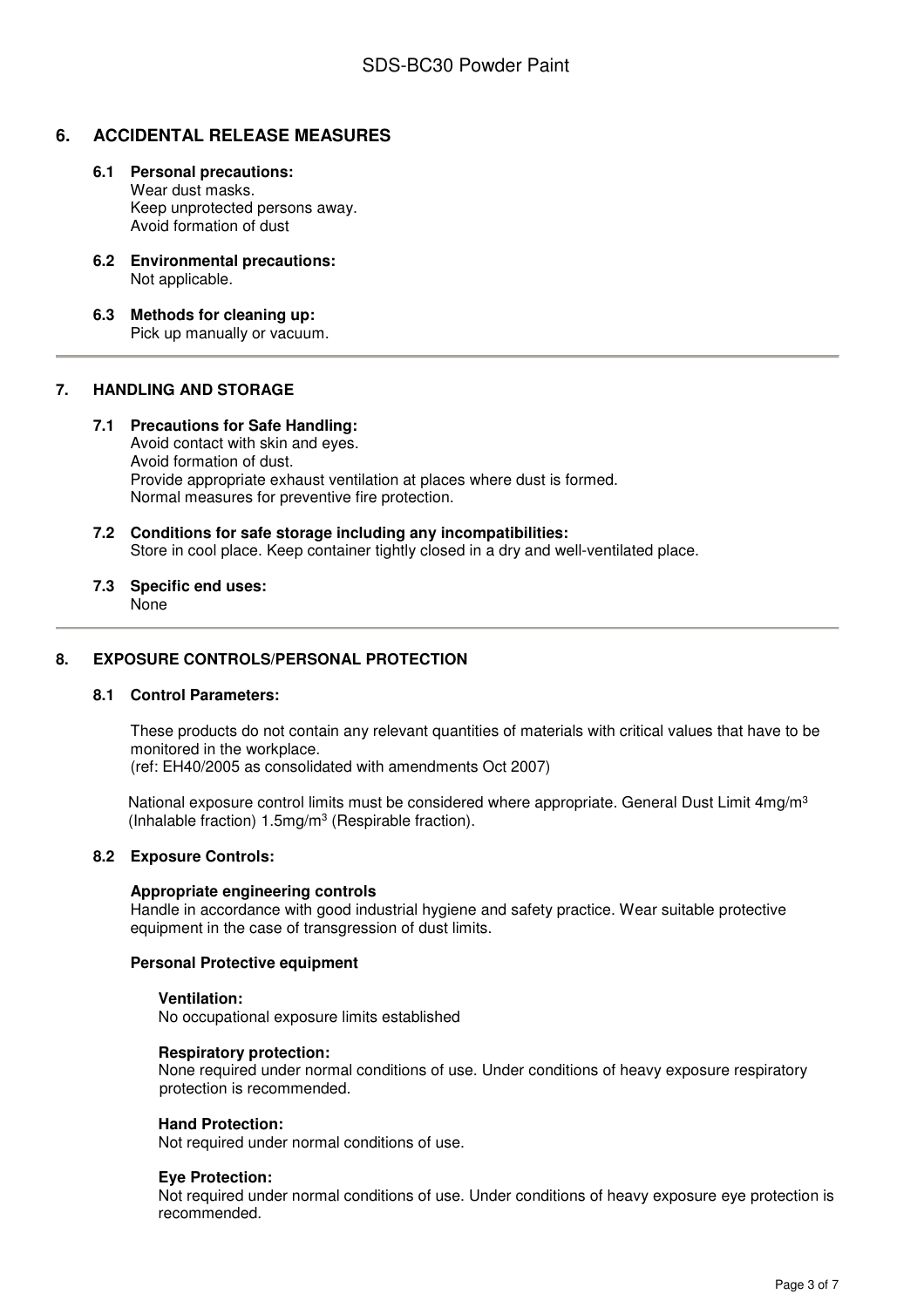## **6. ACCIDENTAL RELEASE MEASURES**

- **6.1 Personal precautions:**  Wear dust masks. Keep unprotected persons away. Avoid formation of dust
- **6.2 Environmental precautions:**  Not applicable.
- **6.3 Methods for cleaning up:**  Pick up manually or vacuum.

## **7. HANDLING AND STORAGE**

### **7.1 Precautions for Safe Handling:**

Avoid contact with skin and eyes. Avoid formation of dust. Provide appropriate exhaust ventilation at places where dust is formed. Normal measures for preventive fire protection.

**7.2 Conditions for safe storage including any incompatibilities:**  Store in cool place. Keep container tightly closed in a dry and well-ventilated place.

# **7.3 Specific end uses:**

None

## **8. EXPOSURE CONTROLS/PERSONAL PROTECTION**

#### **8.1 Control Parameters:**

These products do not contain any relevant quantities of materials with critical values that have to be monitored in the workplace.

(ref: EH40/2005 as consolidated with amendments Oct 2007)

National exposure control limits must be considered where appropriate. General Dust Limit 4mg/m<sup>3</sup> (Inhalable fraction) 1.5mg/m<sup>3</sup> (Respirable fraction).

#### **8.2 Exposure Controls:**

#### **Appropriate engineering controls**

Handle in accordance with good industrial hygiene and safety practice. Wear suitable protective equipment in the case of transgression of dust limits.

#### **Personal Protective equipment**

#### **Ventilation:**

No occupational exposure limits established

#### **Respiratory protection:**

None required under normal conditions of use. Under conditions of heavy exposure respiratory protection is recommended.

#### **Hand Protection:**

Not required under normal conditions of use.

#### **Eye Protection:**

Not required under normal conditions of use. Under conditions of heavy exposure eye protection is recommended.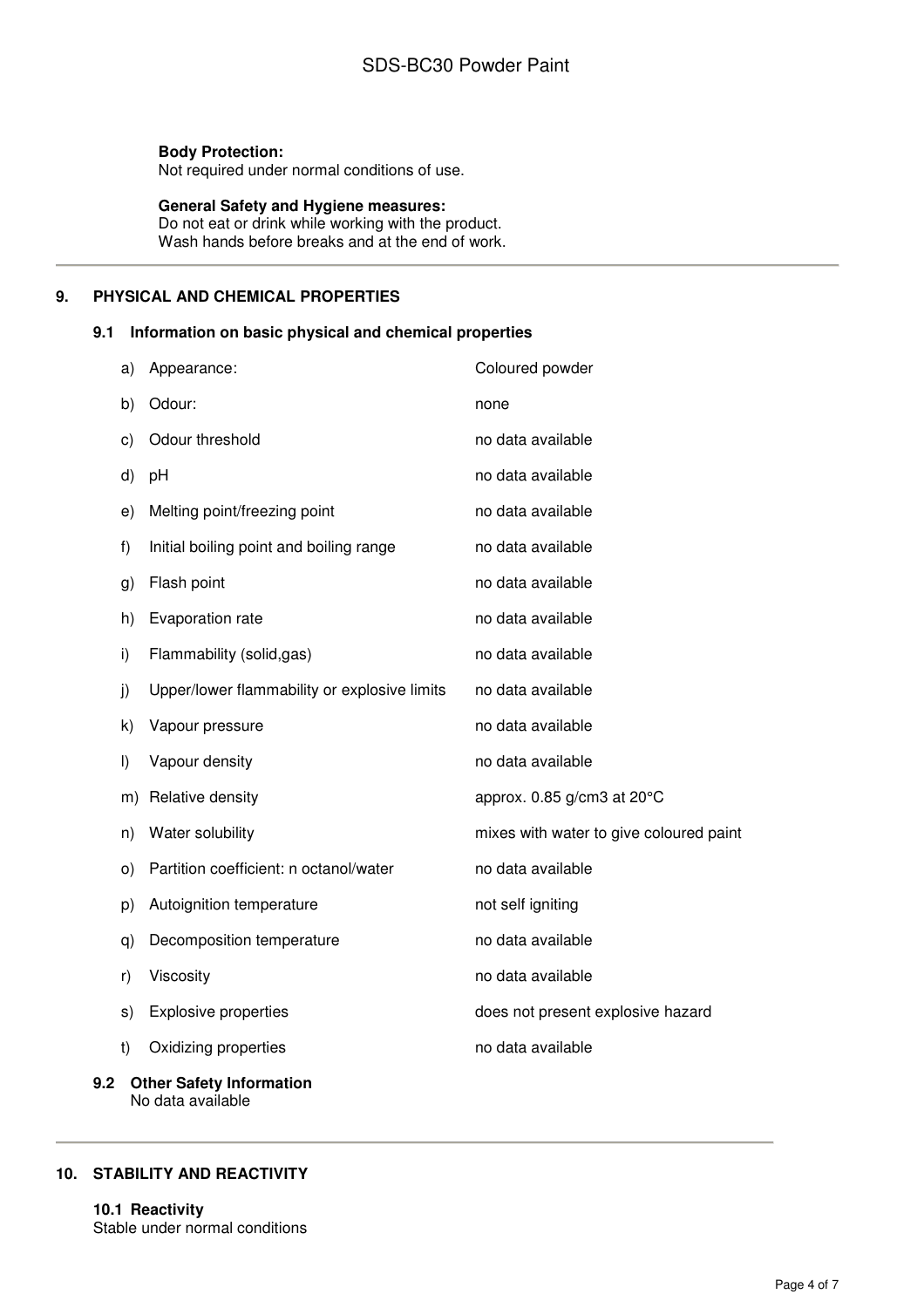## **Body Protection:**

Not required under normal conditions of use.

## **General Safety and Hygiene measures:**

Do not eat or drink while working with the product. Wash hands before breaks and at the end of work.

## **9. PHYSICAL AND CHEMICAL PROPERTIES**

## **9.1 Information on basic physical and chemical properties**

|     | a)                              | Appearance:                                  | Coloured powder                         |
|-----|---------------------------------|----------------------------------------------|-----------------------------------------|
|     | b)                              | Odour:                                       | none                                    |
|     | c)                              | Odour threshold                              | no data available                       |
|     | d)                              | pH                                           | no data available                       |
|     | e)                              | Melting point/freezing point                 | no data available                       |
|     | f)                              | Initial boiling point and boiling range      | no data available                       |
|     | g)                              | Flash point                                  | no data available                       |
|     | h)                              | Evaporation rate                             | no data available                       |
|     | i)                              | Flammability (solid,gas)                     | no data available                       |
|     | j)                              | Upper/lower flammability or explosive limits | no data available                       |
|     | k)                              | Vapour pressure                              | no data available                       |
|     | $\vert$                         | Vapour density                               | no data available                       |
|     | m)                              | Relative density                             | approx. $0.85$ g/cm3 at $20^{\circ}$ C  |
|     | n)                              | Water solubility                             | mixes with water to give coloured paint |
|     | O)                              | Partition coefficient: n octanol/water       | no data available                       |
|     | p)                              | Autoignition temperature                     | not self igniting                       |
|     | q)                              | Decomposition temperature                    | no data available                       |
|     | r)                              | Viscosity                                    | no data available                       |
|     | s)                              | <b>Explosive properties</b>                  | does not present explosive hazard       |
|     | t)                              | Oxidizing properties                         | no data available                       |
| 9.2 | <b>Other Safety Information</b> |                                              |                                         |

# No data available

## **10. STABILITY AND REACTIVITY**

**10.1 Reactivity**  Stable under normal conditions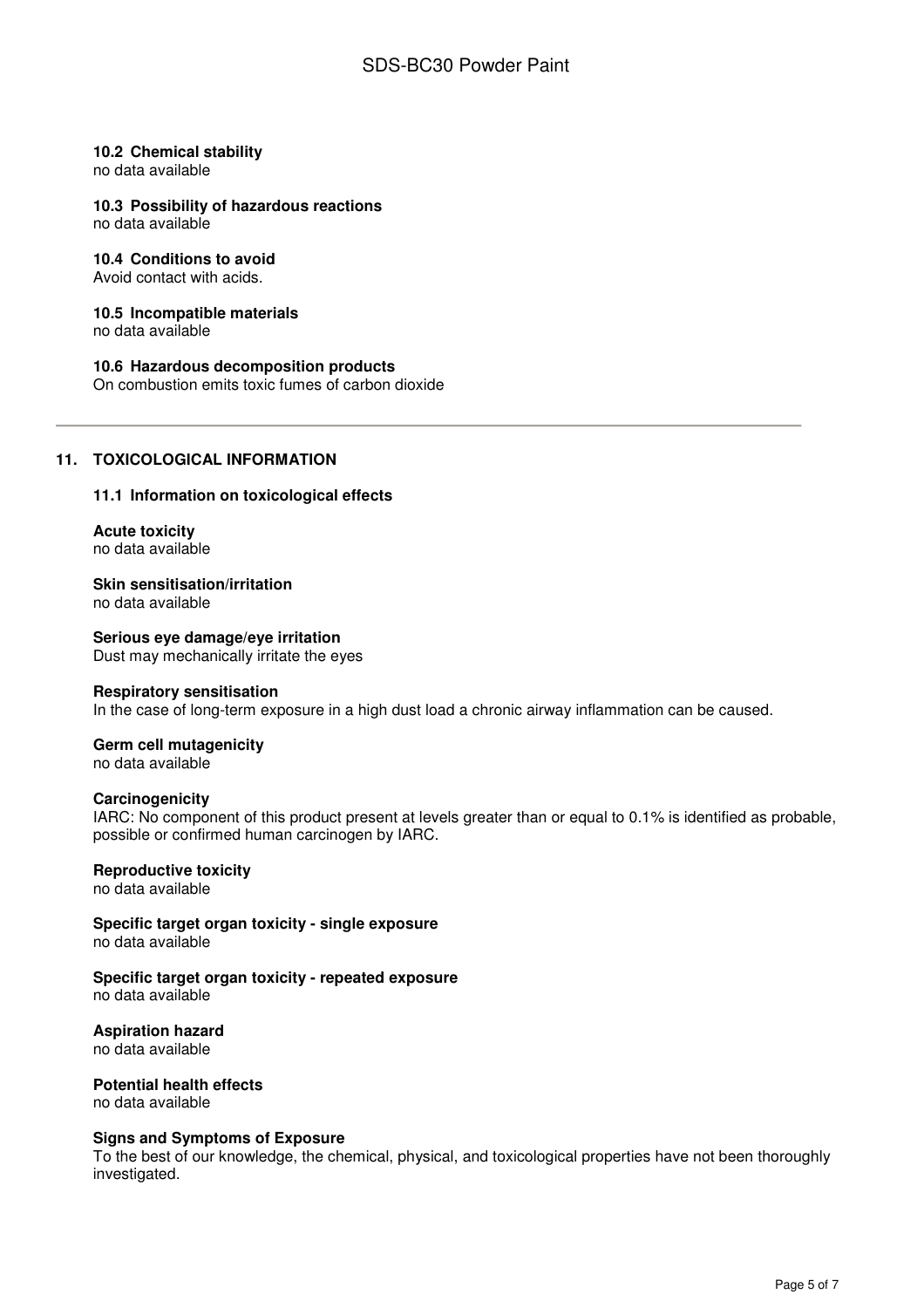### **10.2 Chemical stability**

no data available

### **10.3 Possibility of hazardous reactions**

no data available

## **10.4 Conditions to avoid**

Avoid contact with acids.

#### **10.5 Incompatible materials**

no data available

### **10.6 Hazardous decomposition products**

On combustion emits toxic fumes of carbon dioxide

## **11. TOXICOLOGICAL INFORMATION**

### **11.1 Information on toxicological effects**

**Acute toxicity**  no data available

**Skin sensitisation/irritation**  no data available

#### **Serious eye damage/eye irritation**  Dust may mechanically irritate the eyes

#### **Respiratory sensitisation**

In the case of long-term exposure in a high dust load a chronic airway inflammation can be caused.

#### **Germ cell mutagenicity**  no data available

## **Carcinogenicity**

IARC: No component of this product present at levels greater than or equal to 0.1% is identified as probable, possible or confirmed human carcinogen by IARC.

#### **Reproductive toxicity**

no data available

**Specific target organ toxicity - single exposure**  no data available

## **Specific target organ toxicity - repeated exposure**

no data available

#### **Aspiration hazard**  no data available

**Potential health effects**  no data available

#### **Signs and Symptoms of Exposure**

To the best of our knowledge, the chemical, physical, and toxicological properties have not been thoroughly investigated.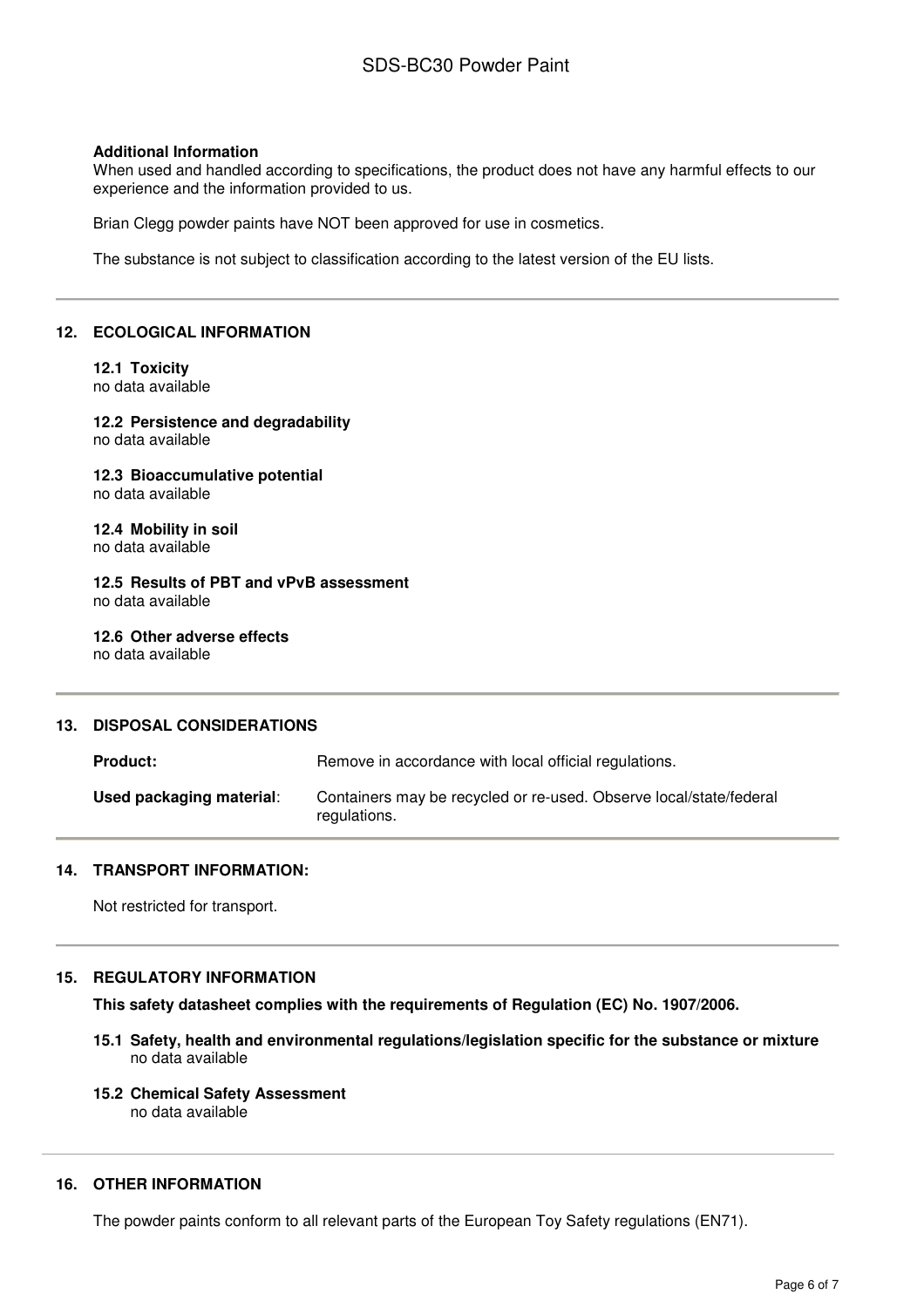#### **Additional Information**

When used and handled according to specifications, the product does not have any harmful effects to our experience and the information provided to us.

Brian Clegg powder paints have NOT been approved for use in cosmetics.

The substance is not subject to classification according to the latest version of the EU lists.

## **12. ECOLOGICAL INFORMATION**

#### **12.1 Toxicity**  no data available

# **12.2 Persistence and degradability**

no data available

## **12.3 Bioaccumulative potential**  no data available

**12.4 Mobility in soil**  no data available

**12.5 Results of PBT and vPvB assessment**  no data available

**12.6 Other adverse effects**  no data available

## **13. DISPOSAL CONSIDERATIONS**

| <b>Product:</b>          | Remove in accordance with local official regulations.                              |
|--------------------------|------------------------------------------------------------------------------------|
| Used packaging material: | Containers may be recycled or re-used. Observe local/state/federal<br>regulations. |

#### **14. TRANSPORT INFORMATION:**

Not restricted for transport.

## **15. REGULATORY INFORMATION**

**This safety datasheet complies with the requirements of Regulation (EC) No. 1907/2006.** 

- **15.1 Safety, health and environmental regulations/legislation specific for the substance or mixture**  no data available
- **15.2 Chemical Safety Assessment**

no data available

### **16. OTHER INFORMATION**

The powder paints conform to all relevant parts of the European Toy Safety regulations (EN71).